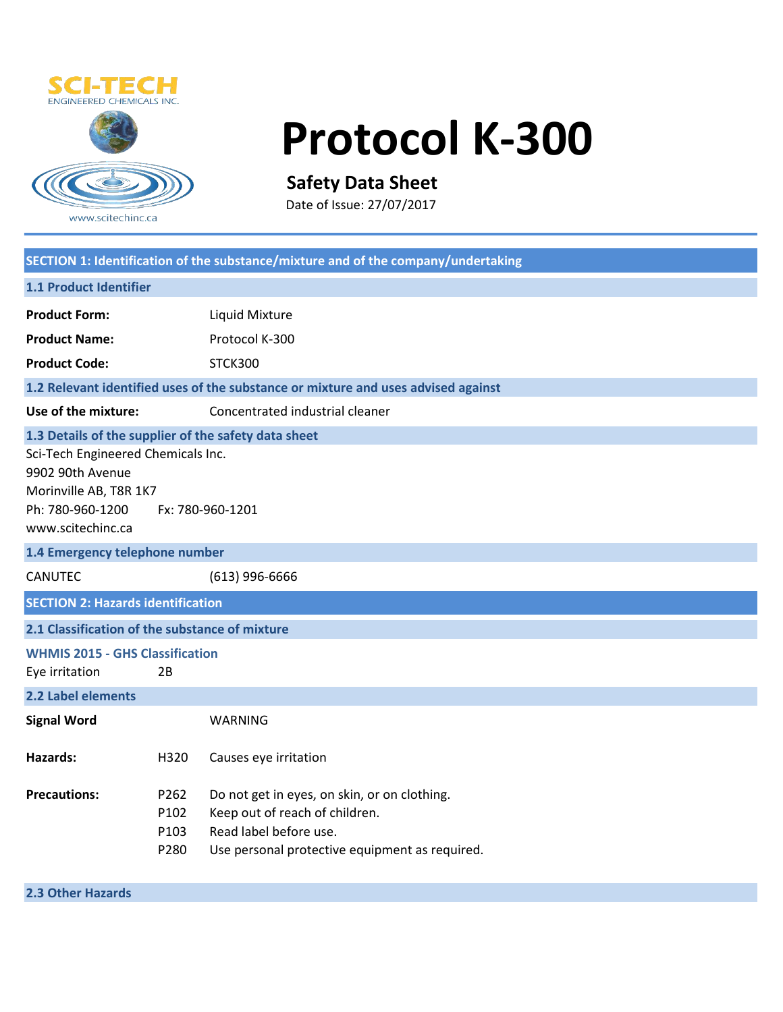

# **Protocol K-300**

# **Safety Data Sheet**

Date of Issue: 27/07/2017

| SECTION 1: Identification of the substance/mixture and of the company/undertaking                                                                                                                     |                              |                                                                                                                                                            |  |  |
|-------------------------------------------------------------------------------------------------------------------------------------------------------------------------------------------------------|------------------------------|------------------------------------------------------------------------------------------------------------------------------------------------------------|--|--|
| <b>1.1 Product Identifier</b>                                                                                                                                                                         |                              |                                                                                                                                                            |  |  |
| <b>Product Form:</b>                                                                                                                                                                                  |                              | Liquid Mixture                                                                                                                                             |  |  |
| <b>Product Name:</b>                                                                                                                                                                                  |                              | Protocol K-300                                                                                                                                             |  |  |
| <b>Product Code:</b>                                                                                                                                                                                  |                              | STCK300                                                                                                                                                    |  |  |
|                                                                                                                                                                                                       |                              | 1.2 Relevant identified uses of the substance or mixture and uses advised against                                                                          |  |  |
| Use of the mixture:                                                                                                                                                                                   |                              | Concentrated industrial cleaner                                                                                                                            |  |  |
| 1.3 Details of the supplier of the safety data sheet<br>Sci-Tech Engineered Chemicals Inc.<br>9902 90th Avenue<br>Morinville AB, T8R 1K7<br>Ph: 780-960-1200<br>Fx: 780-960-1201<br>www.scitechinc.ca |                              |                                                                                                                                                            |  |  |
| 1.4 Emergency telephone number                                                                                                                                                                        |                              |                                                                                                                                                            |  |  |
| <b>CANUTEC</b>                                                                                                                                                                                        | $(613)$ 996-6666             |                                                                                                                                                            |  |  |
| <b>SECTION 2: Hazards identification</b>                                                                                                                                                              |                              |                                                                                                                                                            |  |  |
| 2.1 Classification of the substance of mixture                                                                                                                                                        |                              |                                                                                                                                                            |  |  |
| <b>WHMIS 2015 - GHS Classification</b><br>Eye irritation                                                                                                                                              | 2B                           |                                                                                                                                                            |  |  |
| 2.2 Label elements                                                                                                                                                                                    |                              |                                                                                                                                                            |  |  |
| <b>Signal Word</b>                                                                                                                                                                                    |                              | <b>WARNING</b>                                                                                                                                             |  |  |
| Hazards:                                                                                                                                                                                              | H320                         | Causes eye irritation                                                                                                                                      |  |  |
| <b>Precautions:</b>                                                                                                                                                                                   | P262<br>P102<br>P103<br>P280 | Do not get in eyes, on skin, or on clothing.<br>Keep out of reach of children.<br>Read label before use.<br>Use personal protective equipment as required. |  |  |

**2.3 Other Hazards**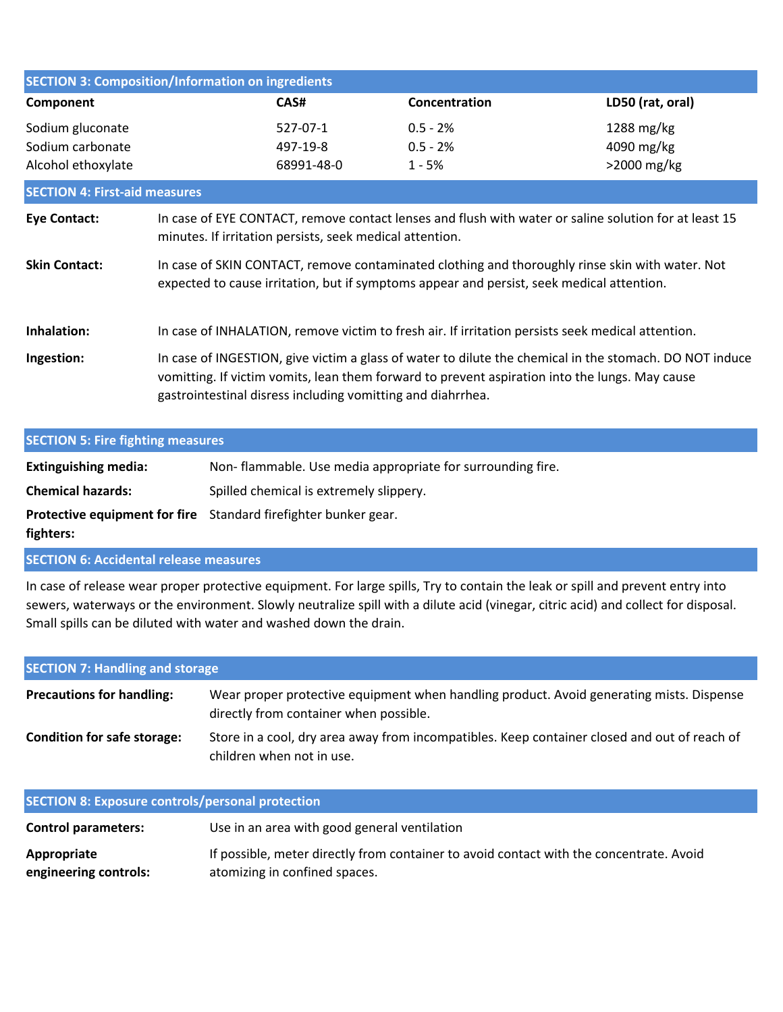| <b>SECTION 3: Composition/Information on ingredients</b>   |                                                                                                                                                                                                                                                                          |                                    |                                                                                                   |                                         |
|------------------------------------------------------------|--------------------------------------------------------------------------------------------------------------------------------------------------------------------------------------------------------------------------------------------------------------------------|------------------------------------|---------------------------------------------------------------------------------------------------|-----------------------------------------|
| Component                                                  |                                                                                                                                                                                                                                                                          | CAS#                               | Concentration                                                                                     | LD50 (rat, oral)                        |
| Sodium gluconate<br>Sodium carbonate<br>Alcohol ethoxylate |                                                                                                                                                                                                                                                                          | 527-07-1<br>497-19-8<br>68991-48-0 | $0.5 - 2%$<br>$0.5 - 2%$<br>$1 - 5%$                                                              | 1288 mg/kg<br>4090 mg/kg<br>>2000 mg/kg |
| <b>SECTION 4: First-aid measures</b>                       |                                                                                                                                                                                                                                                                          |                                    |                                                                                                   |                                         |
| <b>Eye Contact:</b>                                        | In case of EYE CONTACT, remove contact lenses and flush with water or saline solution for at least 15<br>minutes. If irritation persists, seek medical attention.                                                                                                        |                                    |                                                                                                   |                                         |
| <b>Skin Contact:</b>                                       | In case of SKIN CONTACT, remove contaminated clothing and thoroughly rinse skin with water. Not<br>expected to cause irritation, but if symptoms appear and persist, seek medical attention.                                                                             |                                    |                                                                                                   |                                         |
| Inhalation:                                                |                                                                                                                                                                                                                                                                          |                                    | In case of INHALATION, remove victim to fresh air. If irritation persists seek medical attention. |                                         |
| Ingestion:                                                 | In case of INGESTION, give victim a glass of water to dilute the chemical in the stomach. DO NOT induce<br>vomitting. If victim vomits, lean them forward to prevent aspiration into the lungs. May cause<br>gastrointestinal disress including vomitting and diahrrhea. |                                    |                                                                                                   |                                         |

# **SECTION 5: Fire fighting measures Extinguishing media: Chemical hazards: Protective equipment for fire**  Standard firefighter bunker gear. **fighters:** Spilled chemical is extremely slippery. Non- flammable. Use media appropriate for surrounding fire.

**SECTION 6: Accidental release measures**

In case of release wear proper protective equipment. For large spills, Try to contain the leak or spill and prevent entry into sewers, waterways or the environment. Slowly neutralize spill with a dilute acid (vinegar, citric acid) and collect for disposal. Small spills can be diluted with water and washed down the drain.

| <b>SECTION 7: Handling and storage</b> |                                                                                                                                    |  |
|----------------------------------------|------------------------------------------------------------------------------------------------------------------------------------|--|
| <b>Precautions for handling:</b>       | Wear proper protective equipment when handling product. Avoid generating mists. Dispense<br>directly from container when possible. |  |
| <b>Condition for safe storage:</b>     | Store in a cool, dry area away from incompatibles. Keep container closed and out of reach of<br>children when not in use.          |  |

| <b>SECTION 8: Exposure controls/personal protection</b> |                                                                                                                          |  |
|---------------------------------------------------------|--------------------------------------------------------------------------------------------------------------------------|--|
| <b>Control parameters:</b>                              | Use in an area with good general ventilation                                                                             |  |
| Appropriate<br>engineering controls:                    | If possible, meter directly from container to avoid contact with the concentrate. Avoid<br>atomizing in confined spaces. |  |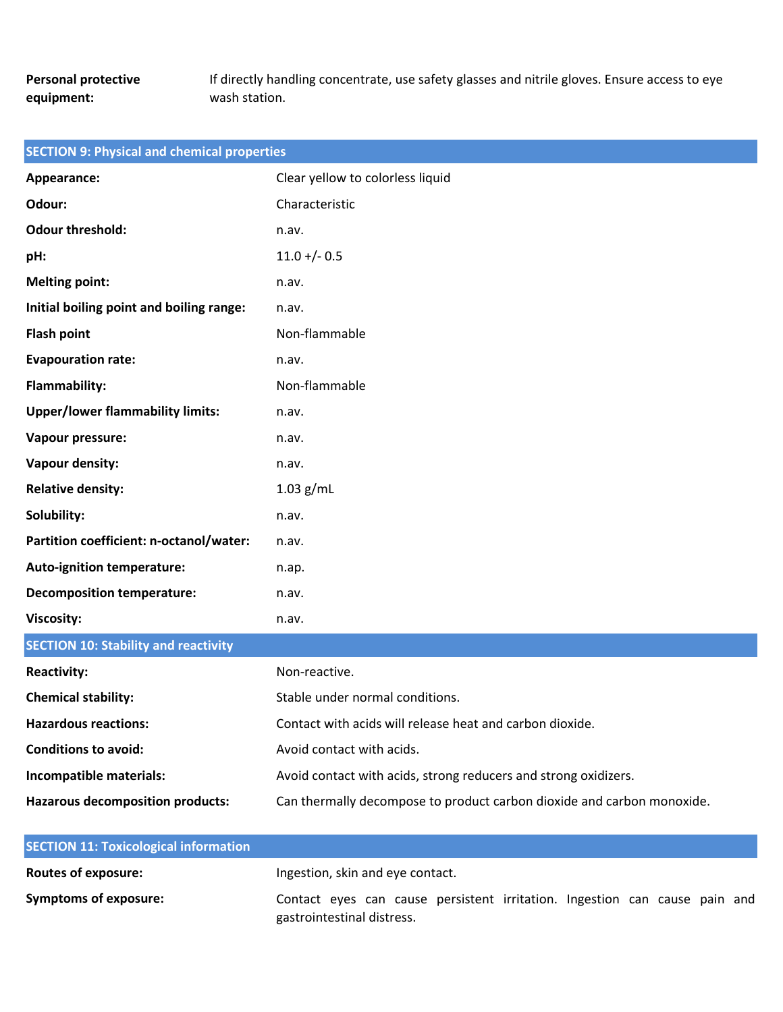# **Personal protective equipment:**

If directly handling concentrate, use safety glasses and nitrile gloves. Ensure access to eye wash station.

| <b>SECTION 9: Physical and chemical properties</b> |                                                                        |  |
|----------------------------------------------------|------------------------------------------------------------------------|--|
| Appearance:                                        | Clear yellow to colorless liquid                                       |  |
| Odour:                                             | Characteristic                                                         |  |
| <b>Odour threshold:</b>                            | n.av.                                                                  |  |
| pH:                                                | $11.0 + (-0.5)$                                                        |  |
| <b>Melting point:</b>                              | n.av.                                                                  |  |
| Initial boiling point and boiling range:           | n.av.                                                                  |  |
| <b>Flash point</b>                                 | Non-flammable                                                          |  |
| <b>Evapouration rate:</b>                          | n.av.                                                                  |  |
| Flammability:                                      | Non-flammable                                                          |  |
| <b>Upper/lower flammability limits:</b>            | n.av.                                                                  |  |
| Vapour pressure:                                   | n.av.                                                                  |  |
| Vapour density:                                    | n.av.                                                                  |  |
| <b>Relative density:</b>                           | $1.03$ g/mL                                                            |  |
| Solubility:                                        | n.av.                                                                  |  |
| Partition coefficient: n-octanol/water:            | n.av.                                                                  |  |
| <b>Auto-ignition temperature:</b>                  | n.ap.                                                                  |  |
| <b>Decomposition temperature:</b>                  | n.av.                                                                  |  |
| Viscosity:                                         | n.av.                                                                  |  |
| <b>SECTION 10: Stability and reactivity</b>        |                                                                        |  |
| <b>Reactivity:</b>                                 | Non-reactive.                                                          |  |
| <b>Chemical stability:</b>                         | Stable under normal conditions.                                        |  |
| <b>Hazardous reactions:</b>                        | Contact with acids will release heat and carbon dioxide.               |  |
| <b>Conditions to avoid:</b>                        | Avoid contact with acids.                                              |  |
| Incompatible materials:                            | Avoid contact with acids, strong reducers and strong oxidizers.        |  |
| <b>Hazarous decomposition products:</b>            | Can thermally decompose to product carbon dioxide and carbon monoxide. |  |

| <b>SECTION 11: Toxicological information</b> |                                                                            |
|----------------------------------------------|----------------------------------------------------------------------------|
| <b>Routes of exposure:</b>                   | Ingestion, skin and eye contact.                                           |
| Symptoms of exposure:                        | Contact eyes can cause persistent irritation. Ingestion can cause pain and |
|                                              | gastrointestinal distress.                                                 |